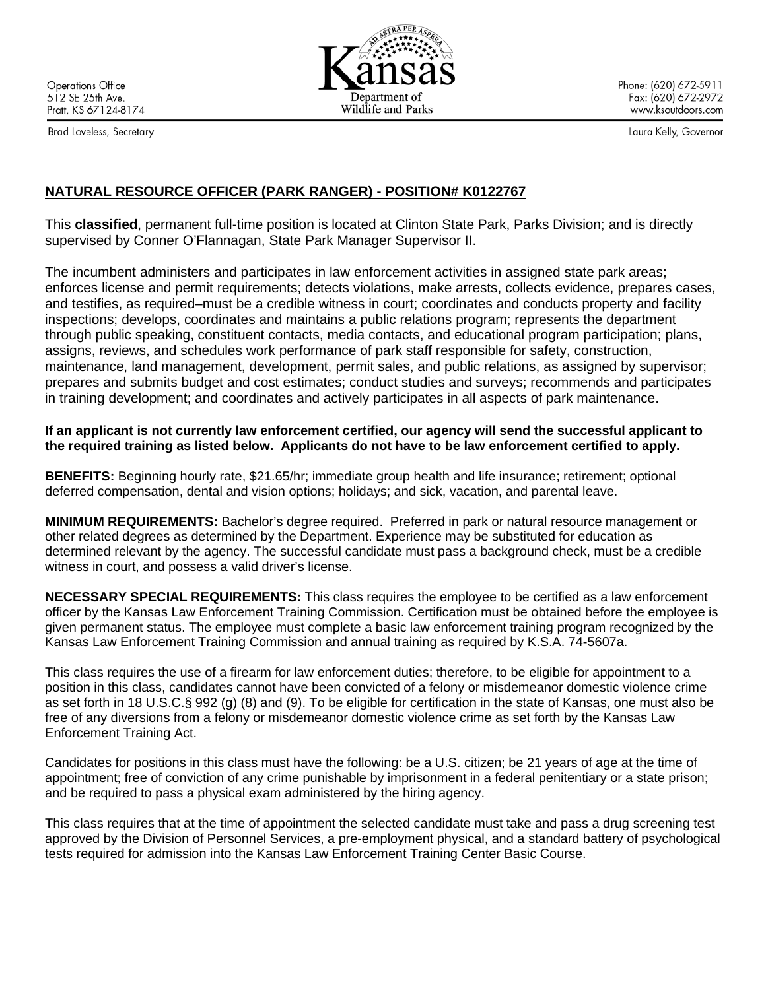**Operations Office** 512 SE 25th Ave. Pratt, KS 67124-8174

Brad Loveless, Secretary

Phone: (620) 672-5911 Fax: (620) 672-2972 www.ksoutdoors.com

Laura Kelly, Governor

# **NATURAL RESOURCE OFFICER (PARK RANGER) - POSITION# K0122767**

This **classified**, permanent full-time position is located at Clinton State Park, Parks Division; and is directly supervised by Conner O'Flannagan, State Park Manager Supervisor II.

The incumbent administers and participates in law enforcement activities in assigned state park areas; enforces license and permit requirements; detects violations, make arrests, collects evidence, prepares cases, and testifies, as required–must be a credible witness in court; coordinates and conducts property and facility inspections; develops, coordinates and maintains a public relations program; represents the department through public speaking, constituent contacts, media contacts, and educational program participation; plans, assigns, reviews, and schedules work performance of park staff responsible for safety, construction, maintenance, land management, development, permit sales, and public relations, as assigned by supervisor; prepares and submits budget and cost estimates; conduct studies and surveys; recommends and participates in training development; and coordinates and actively participates in all aspects of park maintenance.

## **If an applicant is not currently law enforcement certified, our agency will send the successful applicant to the required training as listed below. Applicants do not have to be law enforcement certified to apply.**

**BENEFITS:** Beginning hourly rate, \$21.65/hr; immediate group health and life insurance; retirement; optional deferred compensation, dental and vision options; holidays; and sick, vacation, and parental leave.

**MINIMUM REQUIREMENTS:** Bachelor's degree required. Preferred in park or natural resource management or other related degrees as determined by the Department. Experience may be substituted for education as determined relevant by the agency. The successful candidate must pass a background check, must be a credible witness in court, and possess a valid driver's license.

**NECESSARY SPECIAL REQUIREMENTS:** This class requires the employee to be certified as a law enforcement officer by the Kansas Law Enforcement Training Commission. Certification must be obtained before the employee is given permanent status. The employee must complete a basic law enforcement training program recognized by the Kansas Law Enforcement Training Commission and annual training as required by K.S.A. 74-5607a.

This class requires the use of a firearm for law enforcement duties; therefore, to be eligible for appointment to a position in this class, candidates cannot have been convicted of a felony or misdemeanor domestic violence crime as set forth in 18 U.S.C.§ 992 (g) (8) and (9). To be eligible for certification in the state of Kansas, one must also be free of any diversions from a felony or misdemeanor domestic violence crime as set forth by the Kansas Law Enforcement Training Act.

Candidates for positions in this class must have the following: be a U.S. citizen; be 21 years of age at the time of appointment; free of conviction of any crime punishable by imprisonment in a federal penitentiary or a state prison; and be required to pass a physical exam administered by the hiring agency.

This class requires that at the time of appointment the selected candidate must take and pass a drug screening test approved by the Division of Personnel Services, a pre-employment physical, and a standard battery of psychological tests required for admission into the Kansas Law Enforcement Training Center Basic Course.